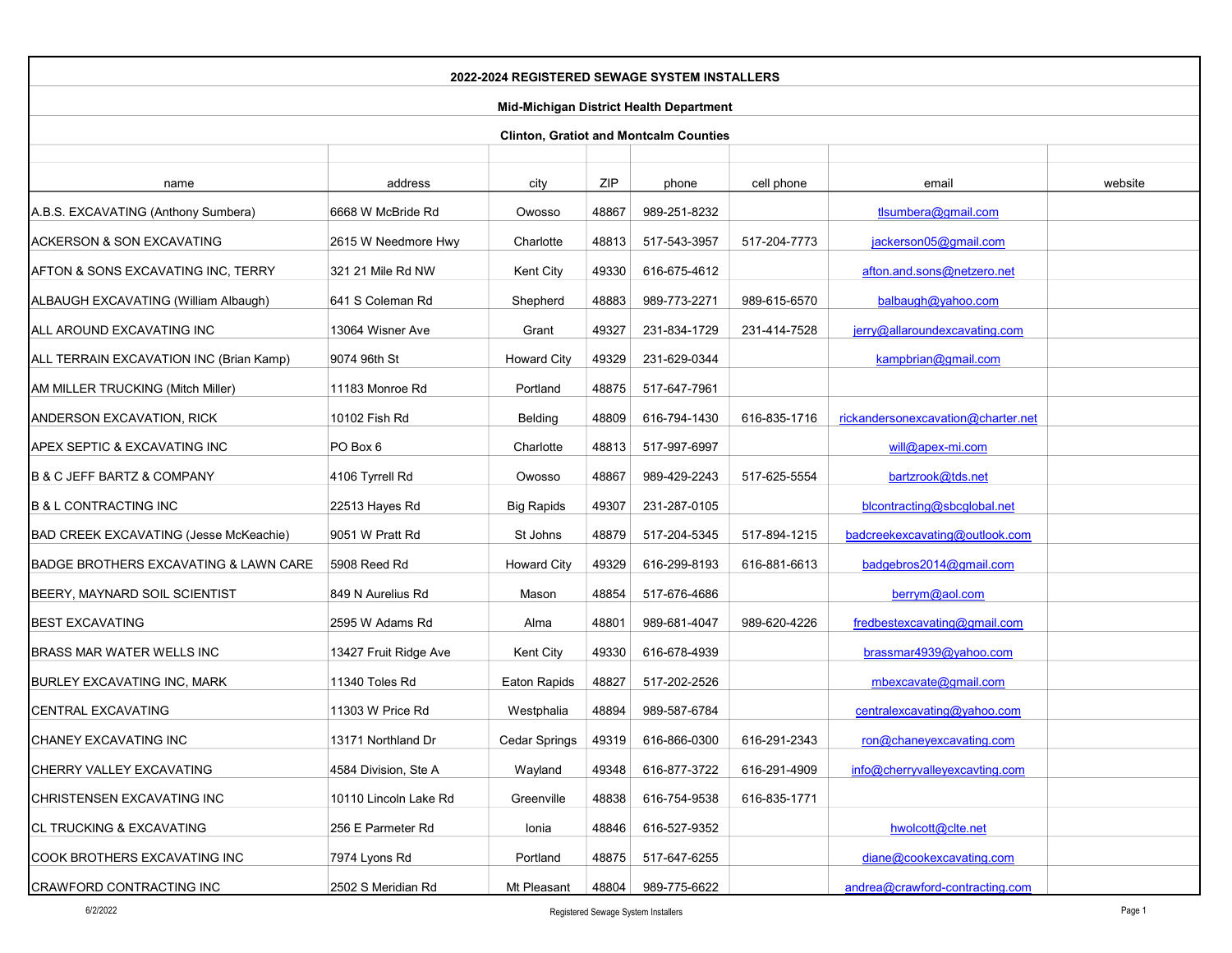| 2022-2024 REGISTERED SEWAGE SYSTEM INSTALLERS  |                       |                    |       |              |              |                                    |         |  |  |
|------------------------------------------------|-----------------------|--------------------|-------|--------------|--------------|------------------------------------|---------|--|--|
| <b>Mid-Michigan District Health Department</b> |                       |                    |       |              |              |                                    |         |  |  |
| <b>Clinton, Gratiot and Montcalm Counties</b>  |                       |                    |       |              |              |                                    |         |  |  |
|                                                |                       |                    |       |              |              |                                    |         |  |  |
| name                                           | address               | city               | ZIP   | phone        | cell phone   | email                              | website |  |  |
| A.B.S. EXCAVATING (Anthony Sumbera)            | 6668 W McBride Rd     | Owosso             | 48867 | 989-251-8232 |              | tlsumbera@gmail.com                |         |  |  |
| <b>ACKERSON &amp; SON EXCAVATING</b>           | 2615 W Needmore Hwy   | Charlotte          | 48813 | 517-543-3957 | 517-204-7773 | jackerson05@gmail.com              |         |  |  |
| AFTON & SONS EXCAVATING INC, TERRY             | 321 21 Mile Rd NW     | Kent City          | 49330 | 616-675-4612 |              | afton.and.sons@netzero.net         |         |  |  |
| ALBAUGH EXCAVATING (William Albaugh)           | 641 S Coleman Rd      | Shepherd           | 48883 | 989-773-2271 | 989-615-6570 | balbaugh@yahoo.com                 |         |  |  |
| ALL AROUND EXCAVATING INC                      | 13064 Wisner Ave      | Grant              | 49327 | 231-834-1729 | 231-414-7528 | jerry@allaroundexcavating.com      |         |  |  |
| ALL TERRAIN EXCAVATION INC (Brian Kamp)        | 9074 96th St          | <b>Howard City</b> | 49329 | 231-629-0344 |              | kampbrian@gmail.com                |         |  |  |
| AM MILLER TRUCKING (Mitch Miller)              | 11183 Monroe Rd       | Portland           | 48875 | 517-647-7961 |              |                                    |         |  |  |
| ANDERSON EXCAVATION, RICK                      | 10102 Fish Rd         | Belding            | 48809 | 616-794-1430 | 616-835-1716 | rickandersonexcavation@charter.net |         |  |  |
| APEX SEPTIC & EXCAVATING INC                   | PO Box 6              | Charlotte          | 48813 | 517-997-6997 |              | will@apex-mi.com                   |         |  |  |
| B & C JEFF BARTZ & COMPANY                     | 4106 Tyrrell Rd       | Owosso             | 48867 | 989-429-2243 | 517-625-5554 | bartzrook@tds.net                  |         |  |  |
| <b>B &amp; L CONTRACTING INC</b>               | 22513 Hayes Rd        | <b>Big Rapids</b>  | 49307 | 231-287-0105 |              | blcontracting@sbcglobal.net        |         |  |  |
| BAD CREEK EXCAVATING (Jesse McKeachie)         | 9051 W Pratt Rd       | St Johns           | 48879 | 517-204-5345 | 517-894-1215 | badcreekexcavating@outlook.com     |         |  |  |
| BADGE BROTHERS EXCAVATING & LAWN CARE          | 5908 Reed Rd          | <b>Howard City</b> | 49329 | 616-299-8193 | 616-881-6613 | badgebros2014@gmail.com            |         |  |  |
| BEERY, MAYNARD SOIL SCIENTIST                  | 849 N Aurelius Rd     | Mason              | 48854 | 517-676-4686 |              | berrym@aol.com                     |         |  |  |
| <b>BEST EXCAVATING</b>                         | 2595 W Adams Rd       | Alma               | 48801 | 989-681-4047 | 989-620-4226 | fredbestexcavating@gmail.com       |         |  |  |
| BRASS MAR WATER WELLS INC                      | 13427 Fruit Ridge Ave | Kent City          | 49330 | 616-678-4939 |              | brassmar4939@yahoo.com             |         |  |  |
| BURLEY EXCAVATING INC, MARK                    | 11340 Toles Rd        | Eaton Rapids       | 48827 | 517-202-2526 |              | mbexcavate@gmail.com               |         |  |  |
| CENTRAL EXCAVATING                             | 11303 W Price Rd      | Westphalia         | 48894 | 989-587-6784 |              | centralexcavating@yahoo.com        |         |  |  |
| CHANEY EXCAVATING INC                          | 13171 Northland Dr    | Cedar Springs      | 49319 | 616-866-0300 | 616-291-2343 | ron@chaneyexcavating.com           |         |  |  |
| CHERRY VALLEY EXCAVATING                       | 4584 Division, Ste A  | Wayland            | 49348 | 616-877-3722 | 616-291-4909 | info@cherryvalleyexcavting.com     |         |  |  |
| CHRISTENSEN EXCAVATING INC                     | 10110 Lincoln Lake Rd | Greenville         | 48838 | 616-754-9538 | 616-835-1771 |                                    |         |  |  |
| CL TRUCKING & EXCAVATING                       | 256 E Parmeter Rd     | Ionia              | 48846 | 616-527-9352 |              | hwolcott@clte.net                  |         |  |  |
| COOK BROTHERS EXCAVATING INC                   | 7974 Lyons Rd         | Portland           | 48875 | 517-647-6255 |              | diane@cookexcavating.com           |         |  |  |
| CRAWFORD CONTRACTING INC                       | 2502 S Meridian Rd    | Mt Pleasant        | 48804 | 989-775-6622 |              | andrea@crawford-contracting.com    |         |  |  |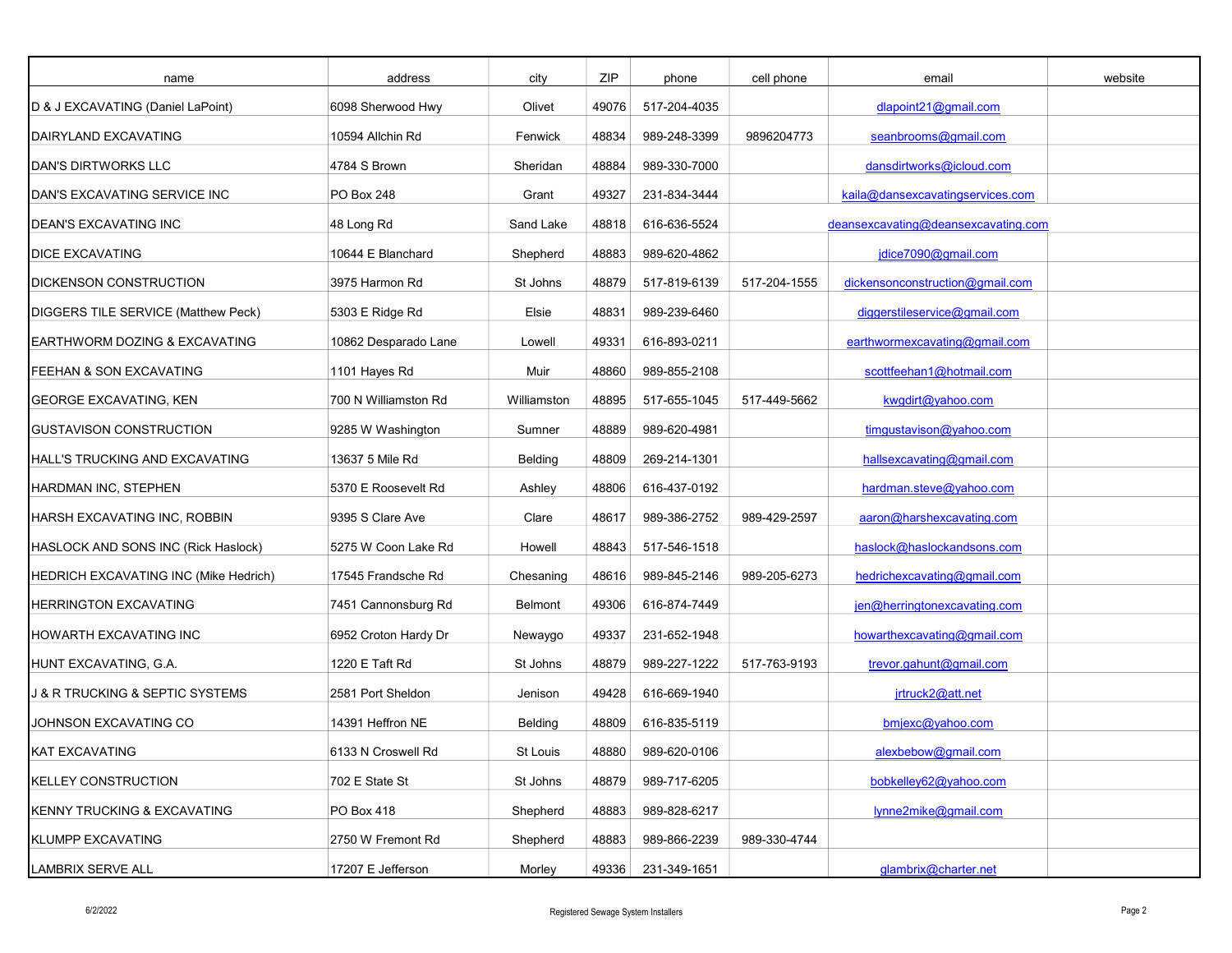| name                                           | address              | city        | ZIP   | phone              | cell phone   | email                               | website |
|------------------------------------------------|----------------------|-------------|-------|--------------------|--------------|-------------------------------------|---------|
| D & J EXCAVATING (Daniel LaPoint)              | 6098 Sherwood Hwy    | Olivet      | 49076 | 517-204-4035       |              | dlapoint21@gmail.com                |         |
| DAIRYLAND EXCAVATING                           | 10594 Allchin Rd     | Fenwick     | 48834 | 989-248-3399       | 9896204773   | seanbrooms@gmail.com                |         |
| <b>DAN'S DIRTWORKS LLC</b>                     | 4784 S Brown         | Sheridan    | 48884 | 989-330-7000       |              | dansdirtworks@icloud.com            |         |
| DAN'S EXCAVATING SERVICE INC                   | PO Box 248           | Grant       | 49327 | 231-834-3444       |              | kaila@dansexcavatingservices.com    |         |
| DEAN'S EXCAVATING INC                          | 48 Long Rd           | Sand Lake   | 48818 | 616-636-5524       |              | deansexcavating@deansexcavating.com |         |
| <b>DICE EXCAVATING</b>                         | 10644 E Blanchard    | Shepherd    | 48883 | 989-620-4862       |              | jdice7090@gmail.com                 |         |
| DICKENSON CONSTRUCTION                         | 3975 Harmon Rd       | St Johns    | 48879 | 517-819-6139       | 517-204-1555 | dickensonconstruction@gmail.com     |         |
| DIGGERS TILE SERVICE (Matthew Peck)            | 5303 E Ridge Rd      | Elsie       | 48831 | 989-239-6460       |              | diggerstileservice@gmail.com        |         |
| EARTHWORM DOZING & EXCAVATING                  | 10862 Desparado Lane | Lowell      | 49331 | 616-893-0211       |              | earthwormexcavating@gmail.com       |         |
| FEEHAN & SON EXCAVATING                        | 1101 Hayes Rd        | Muir        | 48860 | 989-855-2108       |              | scottfeehan1@hotmail.com            |         |
| GEORGE EXCAVATING, KEN                         | 700 N Williamston Rd | Williamston | 48895 | 517-655-1045       | 517-449-5662 | kwgdirt@yahoo.com                   |         |
| <b>GUSTAVISON CONSTRUCTION</b>                 | 9285 W Washington    | Sumner      | 48889 | 989-620-4981       |              | timgustavison@yahoo.com             |         |
| HALL'S TRUCKING AND EXCAVATING                 | 13637 5 Mile Rd      | Belding     | 48809 | 269-214-1301       |              | hallsexcavating@gmail.com           |         |
| HARDMAN INC, STEPHEN                           | 5370 E Roosevelt Rd  | Ashley      | 48806 | 616-437-0192       |              | hardman.steve@yahoo.com             |         |
| HARSH EXCAVATING INC, ROBBIN                   | 9395 S Clare Ave     | Clare       | 48617 | 989-386-2752       | 989-429-2597 | aaron@harshexcavating.com           |         |
| HASLOCK AND SONS INC (Rick Haslock)            | 5275 W Coon Lake Rd  | Howell      | 48843 | 517-546-1518       |              | haslock@haslockandsons.com          |         |
| HEDRICH EXCAVATING INC (Mike Hedrich)          | 17545 Frandsche Rd   | Chesaning   | 48616 | 989-845-2146       | 989-205-6273 | hedrichexcavating@gmail.com         |         |
| HERRINGTON EXCAVATING                          | 7451 Cannonsburg Rd  | Belmont     | 49306 | 616-874-7449       |              | jen@herringtonexcavating.com        |         |
| HOWARTH EXCAVATING INC                         | 6952 Croton Hardy Dr | Newaygo     | 49337 | 231-652-1948       |              | howarthexcavating@gmail.com         |         |
| HUNT EXCAVATING, G.A.                          | 1220 E Taft Rd       | St Johns    | 48879 | 989-227-1222       | 517-763-9193 | trevor.gahunt@gmail.com             |         |
| <b>J &amp; R TRUCKING &amp; SEPTIC SYSTEMS</b> | 2581 Port Sheldon    | Jenison     | 49428 | 616-669-1940       |              | jrtruck2@att.net                    |         |
| JOHNSON EXCAVATING CO                          | 14391 Heffron NE     | Belding     | 48809 | 616-835-5119       |              | bmjexc@yahoo.com                    |         |
| KAT EXCAVATING                                 | 6133 N Croswell Rd   | St Louis    | 48880 | 989-620-0106       |              | alexbebow@gmail.com                 |         |
| <b>KELLEY CONSTRUCTION</b>                     | 702 E State St       | St Johns    | 48879 | 989-717-6205       |              | bobkelley62@yahoo.com               |         |
| KENNY TRUCKING & EXCAVATING                    | PO Box 418           | Shepherd    | 48883 | 989-828-6217       |              | lynne2mike@gmail.com                |         |
| <b>KLUMPP EXCAVATING</b>                       | 2750 W Fremont Rd    | Shepherd    | 48883 | 989-866-2239       | 989-330-4744 |                                     |         |
| <b>LAMBRIX SERVE ALL</b>                       | 17207 E Jefferson    | Morley      |       | 49336 231-349-1651 |              | glambrix@charter.net                |         |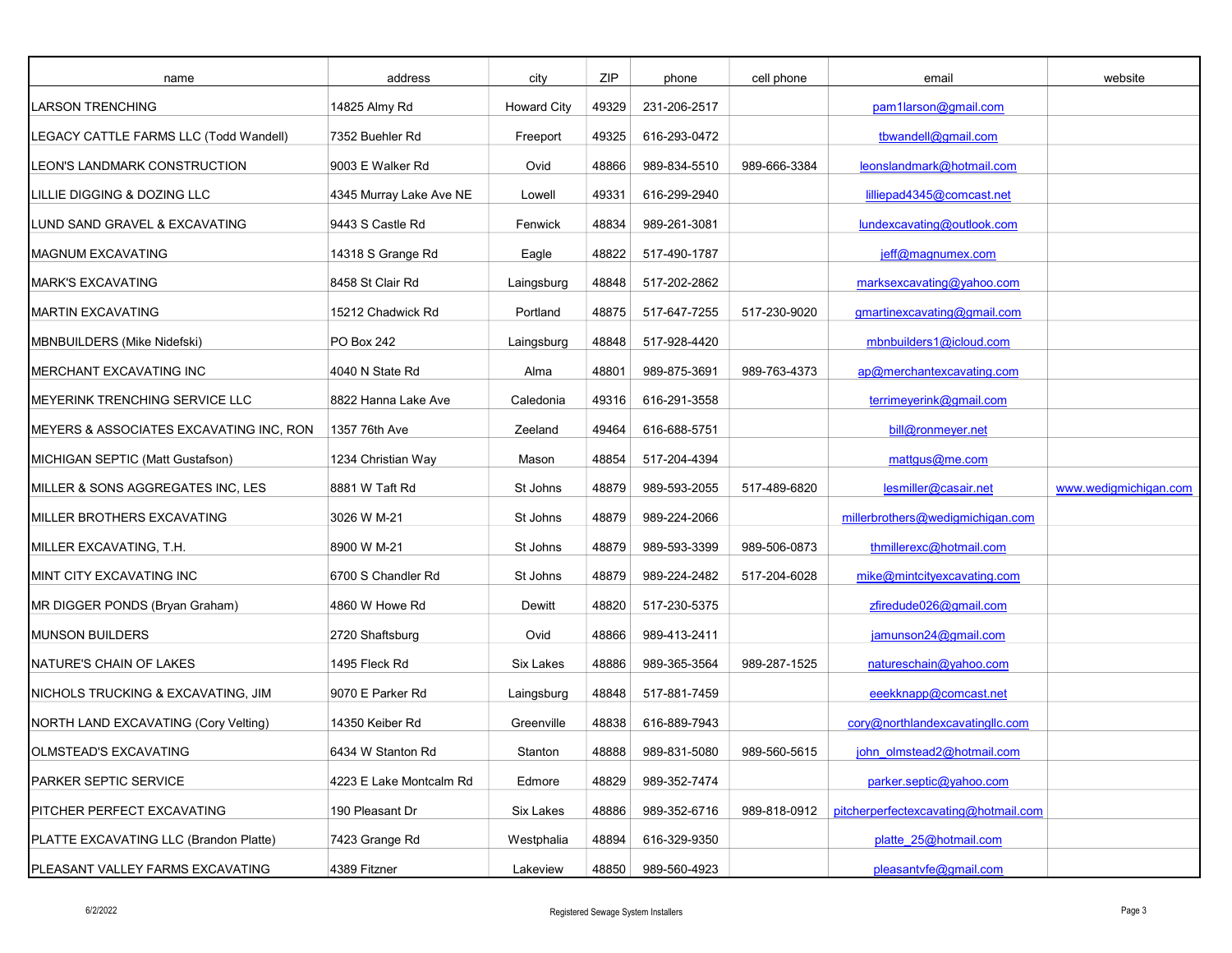| name                                    | address                 | city               | ZIP   | phone        | cell phone   | email                                | website               |
|-----------------------------------------|-------------------------|--------------------|-------|--------------|--------------|--------------------------------------|-----------------------|
| LARSON TRENCHING                        | 14825 Almy Rd           | <b>Howard City</b> | 49329 | 231-206-2517 |              | pam1larson@gmail.com                 |                       |
| LEGACY CATTLE FARMS LLC (Todd Wandell)  | 7352 Buehler Rd         | Freeport           | 49325 | 616-293-0472 |              | tbwandell@gmail.com                  |                       |
| LEON'S LANDMARK CONSTRUCTION            | 9003 E Walker Rd        | Ovid               | 48866 | 989-834-5510 | 989-666-3384 | leonslandmark@hotmail.com            |                       |
| LILLIE DIGGING & DOZING LLC             | 4345 Murray Lake Ave NE | Lowell             | 49331 | 616-299-2940 |              | lilliepad4345@comcast.net            |                       |
| LUND SAND GRAVEL & EXCAVATING           | 9443 S Castle Rd        | Fenwick            | 48834 | 989-261-3081 |              | lundexcavating@outlook.com           |                       |
| <b>MAGNUM EXCAVATING</b>                | 14318 S Grange Rd       | Eagle              | 48822 | 517-490-1787 |              | jeff@magnumex.com                    |                       |
| <b>MARK'S EXCAVATING</b>                | 8458 St Clair Rd        | Laingsburg         | 48848 | 517-202-2862 |              | marksexcavating@yahoo.com            |                       |
| <b>MARTIN EXCAVATING</b>                | 15212 Chadwick Rd       | Portland           | 48875 | 517-647-7255 | 517-230-9020 | gmartinexcavating@gmail.com          |                       |
| MBNBUILDERS (Mike Nidefski)             | PO Box 242              | Laingsburg         | 48848 | 517-928-4420 |              | mbnbuilders1@icloud.com              |                       |
| MERCHANT EXCAVATING INC                 | 4040 N State Rd         | Alma               | 48801 | 989-875-3691 | 989-763-4373 | ap@merchantexcavating.com            |                       |
| MEYERINK TRENCHING SERVICE LLC          | 8822 Hanna Lake Ave     | Caledonia          | 49316 | 616-291-3558 |              | terrimeyerink@gmail.com              |                       |
| MEYERS & ASSOCIATES EXCAVATING INC, RON | 1357 76th Ave           | Zeeland            | 49464 | 616-688-5751 |              | bill@ronmeyer.net                    |                       |
| MICHIGAN SEPTIC (Matt Gustafson)        | 1234 Christian Way      | Mason              | 48854 | 517-204-4394 |              | matgus@me.com                        |                       |
| MILLER & SONS AGGREGATES INC, LES       | 8881 W Taft Rd          | St Johns           | 48879 | 989-593-2055 | 517-489-6820 | lesmiller@casair.net                 | www.wedigmichigan.com |
| MILLER BROTHERS EXCAVATING              | 3026 W M-21             | St Johns           | 48879 | 989-224-2066 |              | millerbrothers@wedigmichigan.com     |                       |
| MILLER EXCAVATING, T.H.                 | 8900 W M-21             | St Johns           | 48879 | 989-593-3399 | 989-506-0873 | thmillerexc@hotmail.com              |                       |
| MINT CITY EXCAVATING INC                | 6700 S Chandler Rd      | St Johns           | 48879 | 989-224-2482 | 517-204-6028 | mike@mintcityexcavating.com          |                       |
| MR DIGGER PONDS (Bryan Graham)          | 4860 W Howe Rd          | Dewitt             | 48820 | 517-230-5375 |              | zfiredude026@gmail.com               |                       |
| <b>MUNSON BUILDERS</b>                  | 2720 Shaftsburg         | Ovid               | 48866 | 989-413-2411 |              | jamunson24@gmail.com                 |                       |
| NATURE'S CHAIN OF LAKES                 | 1495 Fleck Rd           | <b>Six Lakes</b>   | 48886 | 989-365-3564 | 989-287-1525 | natureschain@yahoo.com               |                       |
| NICHOLS TRUCKING & EXCAVATING, JIM      | 9070 E Parker Rd        | Laingsburg         | 48848 | 517-881-7459 |              | eeekknapp@comcast.net                |                       |
| NORTH LAND EXCAVATING (Cory Velting)    | 14350 Keiber Rd         | Greenville         | 48838 | 616-889-7943 |              | cory@northlandexcavatingllc.com      |                       |
| OLMSTEAD'S EXCAVATING                   | 6434 W Stanton Rd       | Stanton            | 48888 | 989-831-5080 | 989-560-5615 | john_olmstead2@hotmail.com           |                       |
| PARKER SEPTIC SERVICE                   | 4223 E Lake Montcalm Rd | Edmore             | 48829 | 989-352-7474 |              | parker.septic@yahoo.com              |                       |
| PITCHER PERFECT EXCAVATING              | 190 Pleasant Dr         | Six Lakes          | 48886 | 989-352-6716 | 989-818-0912 | pitcherperfectexcavating@hotmail.com |                       |
| PLATTE EXCAVATING LLC (Brandon Platte)  | 7423 Grange Rd          | Westphalia         | 48894 | 616-329-9350 |              | platte 25@hotmail.com                |                       |
| PLEASANT VALLEY FARMS EXCAVATING        | 4389 Fitzner            | Lakeview           | 48850 | 989-560-4923 |              | pleasantvfe@gmail.com                |                       |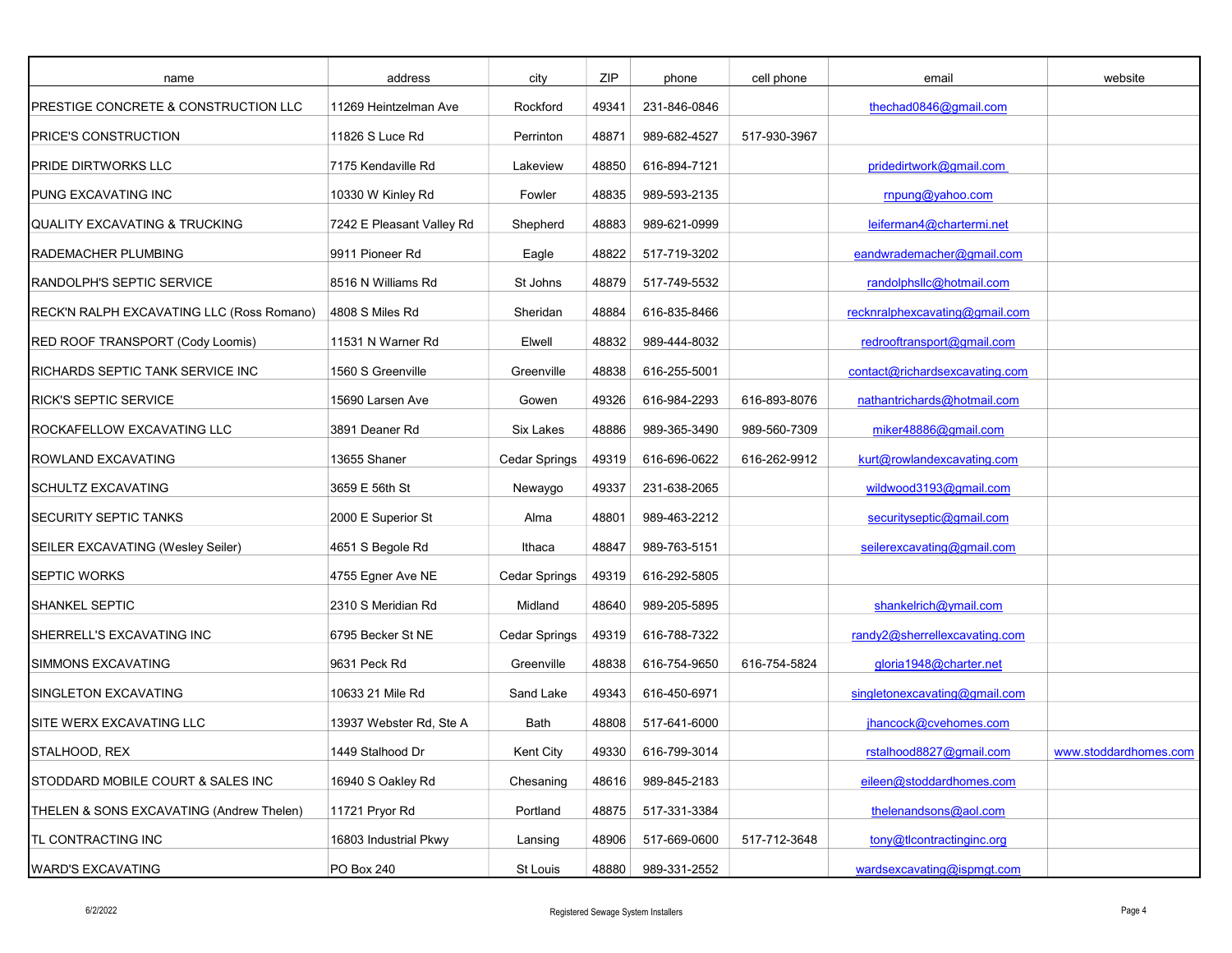| name                                      | address                   | city                 | ZIP   | phone        | cell phone   | email                          | website               |
|-------------------------------------------|---------------------------|----------------------|-------|--------------|--------------|--------------------------------|-----------------------|
| PRESTIGE CONCRETE & CONSTRUCTION LLC      | 11269 Heintzelman Ave     | Rockford             | 49341 | 231-846-0846 |              | thechad0846@gmail.com          |                       |
| PRICE'S CONSTRUCTION                      | 11826 S Luce Rd           | Perrinton            | 48871 | 989-682-4527 | 517-930-3967 |                                |                       |
| PRIDE DIRTWORKS LLC                       | 7175 Kendaville Rd        | Lakeview             | 48850 | 616-894-7121 |              | pridedirtwork@gmail.com        |                       |
| PUNG EXCAVATING INC                       | 10330 W Kinley Rd         | Fowler               | 48835 | 989-593-2135 |              | rnpung@yahoo.com               |                       |
| <b>QUALITY EXCAVATING &amp; TRUCKING</b>  | 7242 E Pleasant Valley Rd | Shepherd             | 48883 | 989-621-0999 |              | leiferman4@chartermi.net       |                       |
| RADEMACHER PLUMBING                       | 9911 Pioneer Rd           | Eagle                | 48822 | 517-719-3202 |              | eandwrademacher@gmail.com      |                       |
| RANDOLPH'S SEPTIC SERVICE                 | 8516 N Williams Rd        | St Johns             | 48879 | 517-749-5532 |              | randolphsllc@hotmail.com       |                       |
| RECK'N RALPH EXCAVATING LLC (Ross Romano) | 4808 S Miles Rd           | Sheridan             | 48884 | 616-835-8466 |              | recknralphexcavating@gmail.com |                       |
| RED ROOF TRANSPORT (Cody Loomis)          | 11531 N Warner Rd         | Elwell               | 48832 | 989-444-8032 |              | redrooftransport@gmail.com     |                       |
| RICHARDS SEPTIC TANK SERVICE INC          | 1560 S Greenville         | Greenville           | 48838 | 616-255-5001 |              | contact@richardsexcavating.com |                       |
| RICK'S SEPTIC SERVICE                     | 15690 Larsen Ave          | Gowen                | 49326 | 616-984-2293 | 616-893-8076 | nathantrichards@hotmail.com    |                       |
| ROCKAFELLOW EXCAVATING LLC                | 3891 Deaner Rd            | Six Lakes            | 48886 | 989-365-3490 | 989-560-7309 | miker48886@gmail.com           |                       |
| ROWLAND EXCAVATING                        | 13655 Shaner              | <b>Cedar Springs</b> | 49319 | 616-696-0622 | 616-262-9912 | kurt@rowlandexcavating.com     |                       |
| SCHULTZ EXCAVATING                        | 3659 E 56th St            | Newaygo              | 49337 | 231-638-2065 |              | wildwood3193@gmail.com         |                       |
| <b>SECURITY SEPTIC TANKS</b>              | 2000 E Superior St        | Alma                 | 48801 | 989-463-2212 |              | securityseptic@gmail.com       |                       |
| SEILER EXCAVATING (Wesley Seiler)         | 4651 S Begole Rd          | Ithaca               | 48847 | 989-763-5151 |              | seilerexcavating@gmail.com     |                       |
| <b>SEPTIC WORKS</b>                       | 4755 Egner Ave NE         | <b>Cedar Springs</b> | 49319 | 616-292-5805 |              |                                |                       |
| SHANKEL SEPTIC                            | 2310 S Meridian Rd        | Midland              | 48640 | 989-205-5895 |              | shankelrich@ymail.com          |                       |
| SHERRELL'S EXCAVATING INC                 | 6795 Becker St NE         | <b>Cedar Springs</b> | 49319 | 616-788-7322 |              | randy2@sherrellexcavating.com  |                       |
| SIMMONS EXCAVATING                        | 9631 Peck Rd              | Greenville           | 48838 | 616-754-9650 | 616-754-5824 | gloria1948@charter.net         |                       |
| SINGLETON EXCAVATING                      | 10633 21 Mile Rd          | Sand Lake            | 49343 | 616-450-6971 |              | singletonexcavating@gmail.com  |                       |
| SITE WERX EXCAVATING LLC                  | 13937 Webster Rd, Ste A   | Bath                 | 48808 | 517-641-6000 |              | jhancock@cvehomes.com          |                       |
| STALHOOD, REX                             | 1449 Stalhood Dr          | Kent City            | 49330 | 616-799-3014 |              | rstalhood8827@gmail.com        | www.stoddardhomes.com |
| STODDARD MOBILE COURT & SALES INC         | 16940 S Oakley Rd         | Chesaning            | 48616 | 989-845-2183 |              | eileen@stoddardhomes.com       |                       |
| THELEN & SONS EXCAVATING (Andrew Thelen)  | 11721 Pryor Rd            | Portland             | 48875 | 517-331-3384 |              | thelenandsons@aol.com          |                       |
| TL CONTRACTING INC                        | 16803 Industrial Pkwy     | Lansing              | 48906 | 517-669-0600 | 517-712-3648 | tony@tlcontractinginc.org      |                       |
| <b>WARD'S EXCAVATING</b>                  | <b>PO Box 240</b>         | St Louis             | 48880 | 989-331-2552 |              | wardsexcavating@ispmgt.com     |                       |